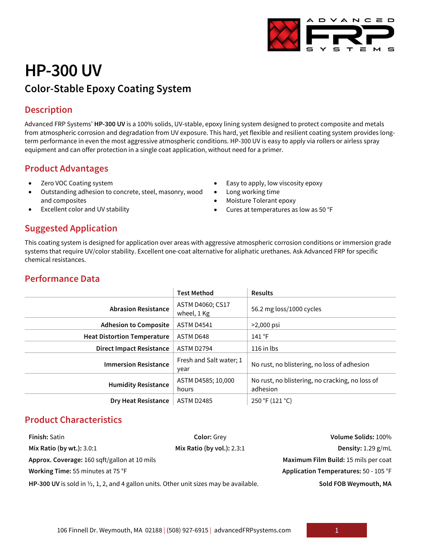

# **HP-300 UV Color-Stable Epoxy Coating System**

### **Description**

Advanced FRP Systems' **HP-300 UV** is a 100% solids, UV-stable, epoxy lining system designed to protect composite and metals from atmospheric corrosion and degradation from UV exposure. This hard, yet flexible and resilient coating system provides longterm performance in even the most aggressive atmospheric conditions. HP-300 UV is easy to apply via rollers or airless spray equipment and can offer protection in a single coat application, without need for a primer.

# **Product Advantages**

- Zero VOC Coating system
- Outstanding adhesion to concrete, steel, masonry, wood and composites
- Excellent color and UV stability
- Easy to apply, low viscosity epoxy
- Long working time
- Moisture Tolerant epoxy
- Cures at temperatures as low as 50 °F

# **Suggested Application**

This coating system is designed for application over areas with aggressive atmospheric corrosion conditions or immersion grade systems that require UV/color stability. Excellent one-coat alternative for aliphatic urethanes. Ask Advanced FRP for specific chemical resistances.

# **Performance Data**

|                                    | <b>Test Method</b>              | <b>Results</b>                                              |  |
|------------------------------------|---------------------------------|-------------------------------------------------------------|--|
| <b>Abrasion Resistance</b>         | ASTM D4060; CS17<br>wheel, 1 Kg | 56.2 mg loss/1000 cycles                                    |  |
| <b>Adhesion to Composite</b>       | <b>ASTM D4541</b>               | $>2,000$ psi                                                |  |
| <b>Heat Distortion Temperature</b> | ASTM D648                       | 141 °F                                                      |  |
| <b>Direct Impact Resistance</b>    | <b>ASTM D2794</b>               | $116$ in lbs                                                |  |
| <b>Immersion Resistance</b>        | Fresh and Salt water; 1<br>year | No rust, no blistering, no loss of adhesion                 |  |
| <b>Humidity Resistance</b>         | ASTM D4585; 10,000<br>hours     | No rust, no blistering, no cracking, no loss of<br>adhesion |  |
| <b>Dry Heat Resistance</b>         | <b>ASTM D2485</b>               | 250 °F (121 °C)                                             |  |

# **Product Characteristics**

| <b>Finish: Satin</b>                                                                              | <b>Color: Grey</b>           | Volume Solids: 100%                   |
|---------------------------------------------------------------------------------------------------|------------------------------|---------------------------------------|
| Mix Ratio (by wt.): 3.0:1                                                                         | Mix Ratio (by vol.): $2.3:1$ | Density: $1.29$ g/mL                  |
| Approx. Coverage: 160 sqft/gallon at 10 mils                                                      |                              | Maximum Film Build: 15 mils per coat  |
| Working Time: 55 minutes at 75 °F                                                                 |                              | Application Temperatures: 50 - 105 °F |
| HP-300 UV is sold in $\frac{1}{2}$ , 1, 2, and 4 gallon units. Other unit sizes may be available. |                              | Sold FOB Weymouth, MA                 |

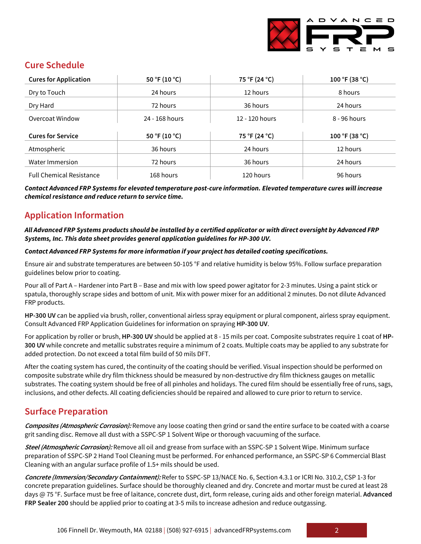

# **Cure Schedule**

| <b>Cures for Application</b>    | 50 °F (10 °C)  | 75 °F (24 °C)  | 100 °F (38 °C) |
|---------------------------------|----------------|----------------|----------------|
| Dry to Touch                    | 24 hours       | 12 hours       | 8 hours        |
| Dry Hard                        | 72 hours       | 36 hours       | 24 hours       |
| Overcoat Window                 | 24 - 168 hours | 12 - 120 hours | 8 - 96 hours   |
| <b>Cures for Service</b>        | 50 °F (10 °C)  | 75 °F (24 °C)  | 100 °F (38 °C) |
|                                 |                |                |                |
| Atmospheric                     | 36 hours       | 24 hours       | 12 hours       |
| Water Immersion                 | 72 hours       | 36 hours       | 24 hours       |
| <b>Full Chemical Resistance</b> | 168 hours      | 120 hours      | 96 hours       |

*Contact Advanced FRP Systems for elevated temperature post-cure information. Elevated temperature cures will increase chemical resistance and reduce return to service time.*

# **Application Information**

#### *All Advanced FRP Systems products should be installed by a certified applicator or with direct oversight by Advanced FRP Systems, Inc. This data sheet provides general application guidelines for HP-300 UV.*

#### *Contact Advanced FRP Systems for more information if your project has detailed coating specifications.*

Ensure air and substrate temperatures are between 50-105 °F and relative humidity is below 95%. Follow surface preparation guidelines below prior to coating.

Pour all of Part A – Hardener into Part B – Base and mix with low speed power agitator for 2-3 minutes. Using a paint stick or spatula, thoroughly scrape sides and bottom of unit. Mix with power mixer for an additional 2 minutes. Do not dilute Advanced FRP products.

**HP-300 UV** can be applied via brush, roller, conventional airless spray equipment or plural component, airless spray equipment. Consult Advanced FRP Application Guidelines for information on spraying **HP-300 UV**.

For application by roller or brush, **HP-300 UV** should be applied at 8 - 15 mils per coat. Composite substrates require 1 coat of **HP-300 UV** while concrete and metallic substrates require a minimum of 2 coats. Multiple coats may be applied to any substrate for added protection. Do not exceed a total film build of 50 mils DFT.

After the coating system has cured, the continuity of the coating should be verified. Visual inspection should be performed on composite substrate while dry film thickness should be measured by non-destructive dry film thickness gauges on metallic substrates. The coating system should be free of all pinholes and holidays. The cured film should be essentially free of runs, sags, inclusions, and other defects. All coating deficiencies should be repaired and allowed to cure prior to return to service.

# **Surface Preparation**

**Composites (Atmospheric Corrosion):** Remove any loose coating then grind or sand the entire surface to be coated with a coarse grit sanding disc. Remove all dust with a SSPC-SP 1 Solvent Wipe or thorough vacuuming of the surface.

**Steel (Atmospheric Corrosion):** Remove all oil and grease from surface with an SSPC-SP 1 Solvent Wipe. Minimum surface preparation of SSPC-SP 2 Hand Tool Cleaning must be performed. For enhanced performance, an SSPC-SP 6 Commercial Blast Cleaning with an angular surface profile of 1.5+ mils should be used.

**Concrete (Immersion/Secondary Containment):** Refer to SSPC-SP 13/NACE No. 6, Section 4.3.1 or ICRI No. 310.2, CSP 1-3 for concrete preparation guidelines. Surface should be thoroughly cleaned and dry. Concrete and mortar must be cured at least 28 days @ 75 °F. Surface must be free of laitance, concrete dust, dirt, form release, curing aids and other foreign material. **Advanced FRP Sealer 200** should be applied prior to coating at 3-5 mils to increase adhesion and reduce outgassing.